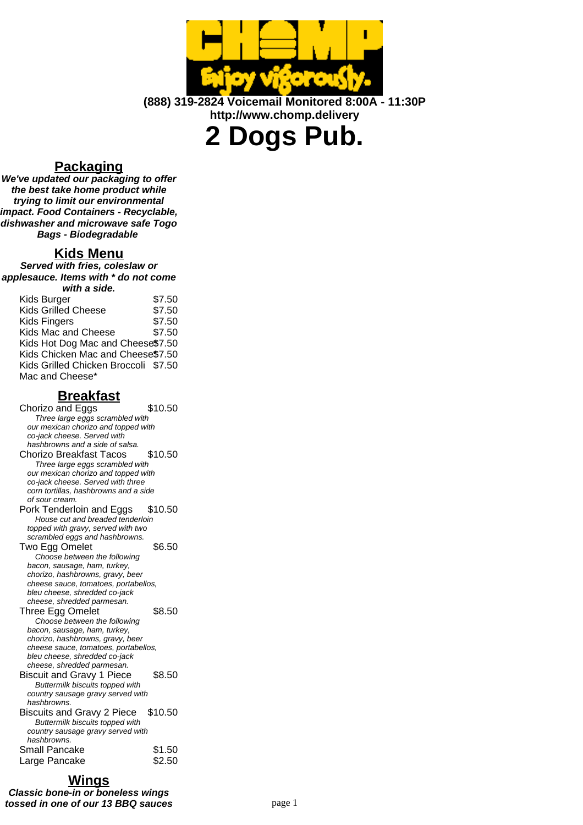

**(888) 319-2824 Voicemail Monitored 8:00A - 11:30P http://www.chomp.delivery**

**2 Dogs Pub.**

## **Packaging**

**We've updated our packaging to offer the best take home product while trying to limit our environmental impact. Food Containers - Recyclable, dishwasher and microwave safe Togo Bags - Biodegradable**

## **Kids Menu**

**Served with fries, coleslaw or applesauce. Items with \* do not come with a side.**

| Kids Burger                          | \$7.50 |
|--------------------------------------|--------|
| <b>Kids Grilled Cheese</b>           | \$7.50 |
| <b>Kids Fingers</b>                  | \$7.50 |
| Kids Mac and Cheese                  | \$7.50 |
| Kids Hot Dog Mac and Cheese\$7.50    |        |
| Kids Chicken Mac and Cheese\$7.50    |        |
| Kids Grilled Chicken Broccoli \$7.50 |        |
| Mac and Cheese*                      |        |
|                                      |        |

### **Breakfast**

Chorizo and Eggs \$10.50 Three large eggs scrambled with our mexican chorizo and topped with co-jack cheese. Served with hashbrowns and a side of salsa. Chorizo Breakfast Tacos \$10.50 Three large eggs scrambled with our mexican chorizo and topped with co-jack cheese. Served with three corn tortillas, hashbrowns and a side of sour cream. Pork Tenderloin and Eggs \$10.50 House cut and breaded tenderloin topped with gravy, served with two scrambled eggs and hashbrowns. Two Egg Omelet \$6.50 Choose between the following bacon, sausage, ham, turkey, chorizo, hashbrowns, gravy, beer cheese sauce, tomatoes, portabellos, bleu cheese, shredded co-jack cheese, shredded parmesan. Three Egg Omelet \$8.50 Choose between the following bacon, sausage, ham, turkey, chorizo, hashbrowns, gravy, beer cheese sauce, tomatoes, portabellos, bleu cheese, shredded co-jack cheese, shredded parmesan. Biscuit and Gravy 1 Piece \$8.50 Buttermilk biscuits topped with country sausage gravy served with hashbrowns. Biscuits and Gravy 2 Piece \$10.50 Buttermilk biscuits topped with country sausage gravy served with hashbrowns. Small Pancake \$1.50 Large Pancake \$2.50

# **Wings**

**Classic bone-in or boneless wings tossed in one of our 13 BBQ sauces** page 1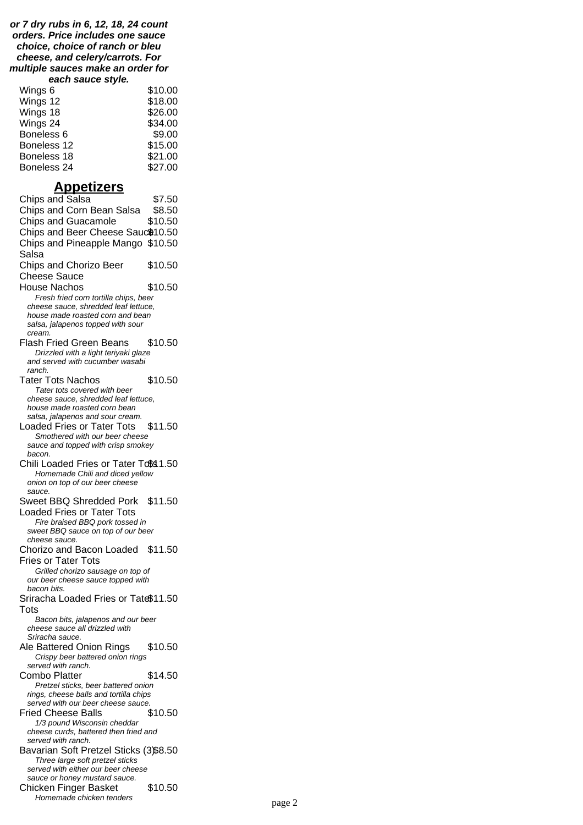#### **or 7 dry rubs in 6, 12, 18, 24 count orders. Price includes one sauce choice, choice of ranch or bleu cheese, and celery/carrots. For multiple sauces make an order for each sauce style.**

| Wings 6     | \$10.00 |
|-------------|---------|
| Wings 12    | \$18.00 |
| Wings 18    | \$26.00 |
| Wings 24    | \$34.00 |
| Boneless 6  | \$9.00  |
| Boneless 12 | \$15.00 |
| Boneless 18 | \$21.00 |
| Boneless 24 | \$27.00 |

### **Appetizers**

Chips and Salsa \$7.50 Chips and Corn Bean Salsa \$8.50 Chips and Guacamole \$10.50 Chips and Beer Cheese Sauc<sup>\$10.50</sup> Chips and Pineapple Mango \$10.50 Salsa Chips and Chorizo Beer Cheese Sauce \$10.50 House Nachos \$10.50 Fresh fried corn tortilla chips, beer cheese sauce, shredded leaf lettuce, house made roasted corn and bean salsa, jalapenos topped with sour cream. Flash Fried Green Beans \$10.50 Drizzled with a light teriyaki glaze and served with cucumber wasabi ranch. Tater Tots Nachos \$10.50 Tater tots covered with beer cheese sauce, shredded leaf lettuce, house made roasted corn bean salsa, jalapenos and sour cream. Loaded Fries or Tater Tots \$11.50 Smothered with our beer cheese sauce and topped with crisp smokey bacon. Chili Loaded Fries or Tater Tots 1.50 Homemade Chili and diced yellow onion on top of our beer cheese sauce. Sweet BBQ Shredded Pork \$11.50 Loaded Fries or Tater Tots Fire braised BBQ pork tossed in sweet BBQ sauce on top of our beer cheese sauce. Chorizo and Bacon Loaded \$11.50 Fries or Tater Tots Grilled chorizo sausage on top of our beer cheese sauce topped with bacon bits. Sriracha Loaded Fries or Tate\$11.50 **Tots** Bacon bits, jalapenos and our beer cheese sauce all drizzled with Sriracha sauce. Ale Battered Onion Rings \$10.50 Crispy beer battered onion rings served with ranch. Combo Platter \$14.50 Pretzel sticks, beer battered onion rings, cheese balls and tortilla chips served with our beer cheese sauce. Fried Cheese Balls \$10.50 1/3 pound Wisconsin cheddar cheese curds, battered then fried and served with ranch. Bavarian Soft Pretzel Sticks (3)\$8.50 Three large soft pretzel sticks served with either our beer cheese sauce or honey mustard sauce. Chicken Finger Basket \$10.50 Homemade chicken tenders **page 2**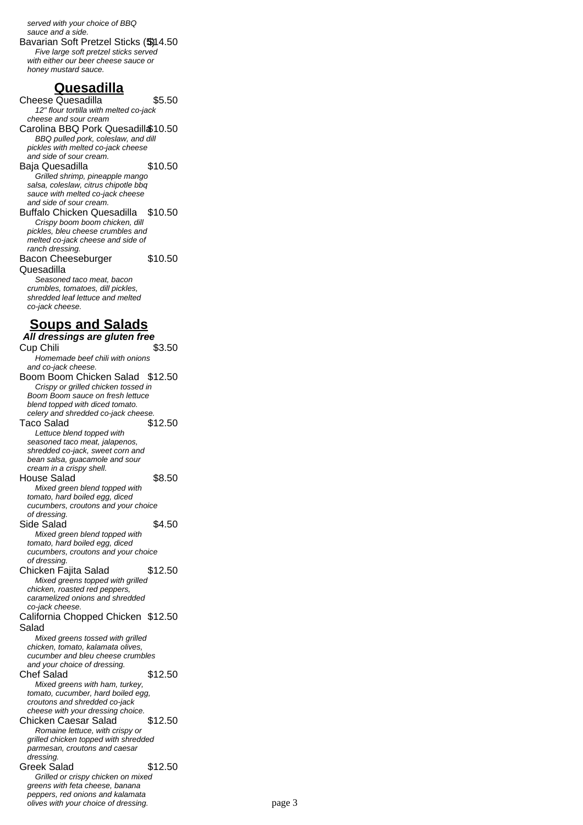served with your choice of BBQ sauce and a side. Bavarian Soft Pretzel Sticks (\$)14.50 Five large soft pretzel sticks served with either our beer cheese sauce or honey mustard sauce.

### **Quesadilla**

Cheese Quesadilla  $$5.50$ 12" flour tortilla with melted co-jack cheese and sour cream Carolina BBQ Pork Quesadilla\$10.50 BBQ pulled pork, coleslaw, and dill pickles with melted co-jack cheese and side of sour cream. Baja Quesadilla  $$10.50$ Grilled shrimp, pineapple mango salsa, coleslaw, citrus chipotle bbq sauce with melted co-jack cheese and side of sour cream. Buffalo Chicken Quesadilla \$10.50 Crispy boom boom chicken, dill pickles, bleu cheese crumbles and melted co-jack cheese and side of ranch dressing. Bacon Cheeseburger Quesadilla \$10.50 Seasoned taco meat, bacon crumbles, tomatoes, dill pickles, shredded leaf lettuce and melted co-jack cheese. **Soups and Salads All dressings are gluten free** Cup Chili Homemade beef chili with onions and co-jack cheese. Boom Boom Chicken Salad \$12.50 Crispy or grilled chicken tossed in Boom Boom sauce on fresh lettuce blend topped with diced tomato. celery and shredded co-jack cheese. Taco Salad \$12.50 Lettuce blend topped with seasoned taco meat, jalapenos, shredded co-jack, sweet corn and bean salsa, guacamole and sour cream in a crispy shell. House Salad \$8.50 Mixed green blend topped with tomato, hard boiled egg, diced cucumbers, croutons and your choice of dressing. Side Salad \$4.50 Mixed green blend topped with tomato, hard boiled egg, diced cucumbers, croutons and your choice of dressing. Chicken Fajita Salad \$12.50 Mixed greens topped with grilled chicken, roasted red peppers, caramelized onions and shredded co-jack cheese. California Chopped Chicken \$12.50 Salad Mixed greens tossed with grilled chicken, tomato, kalamata olives, cucumber and bleu cheese crumbles and your choice of dressing. Chef Salad \$12.50 Mixed greens with ham, turkey, tomato, cucumber, hard boiled egg, croutons and shredded co-jack cheese with your dressing choice. Chicken Caesar Salad \$12.50 Romaine lettuce, with crispy or grilled chicken topped with shredded parmesan, croutons and caesar dressing. Greek Salad \$12.50 Grilled or crispy chicken on mixed greens with feta cheese, banana peppers, red onions and kalamata olives with your choice of dressing.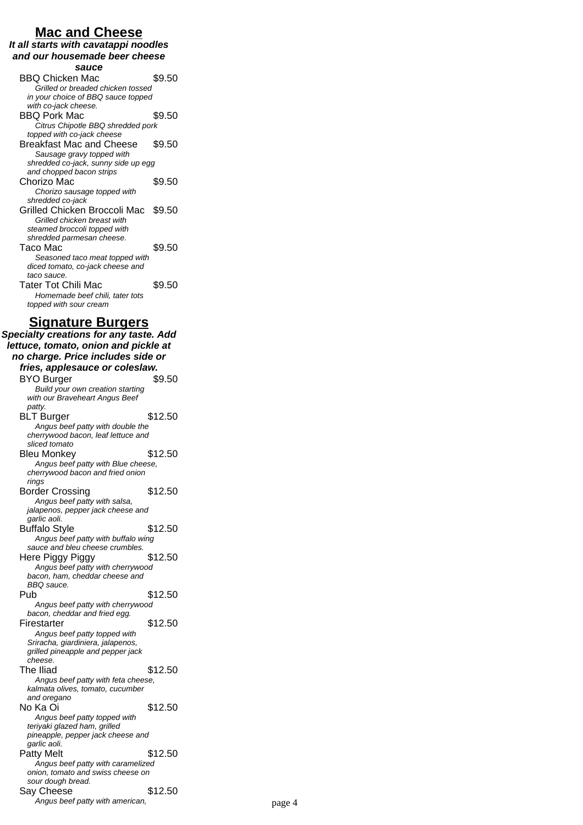### **Mac and Cheese**

**It all starts with cavatappi noodles and our housemade beer cheese**

**sauce** BBQ Chicken Mac \$9.50 Grilled or breaded chicken tossed in your choice of BBQ sauce topped with co-jack cheese. BBQ Pork Mac \$9.50 Citrus Chipotle BBQ shredded pork topped with co-jack cheese Breakfast Mac and Cheese \$9.50 Sausage gravy topped with shredded co-jack, sunny side up egg and chopped bacon strips Chorizo Mac  $$9.50$ Chorizo sausage topped with shredded co-jack Grilled Chicken Broccoli Mac \$9.50 Grilled chicken breast with steamed broccoli topped with shredded parmesan cheese. Taco Mac  $$9.50$ Seasoned taco meat topped with diced tomato, co-jack cheese and taco sauce. Tater Tot Chili Mac \$9.50 Homemade beef chili, tater tots topped with sour cream **Signature Burgers Specialty creations for any taste. Add lettuce, tomato, onion and pickle at no charge. Price includes side or fries, applesauce or coleslaw.** BYO Burger \$9.50 Build your own creation starting with our Braveheart Angus Beef patty. BLT Burger \$12.50 Angus beef patty with double the cherrywood bacon, leaf lettuce and sliced tomato Bleu Monkey  $$12.50$ Angus beef patty with Blue cheese, cherrywood bacon and fried onion rings

Border Crossing \$12.50 Angus beef patty with salsa, jalapenos, pepper jack cheese and garlic aoli. Buffalo Style \$12.50 Angus beef patty with buffalo wing sauce and bleu cheese crumbles. Here Piggy Piggy 312.50 Angus beef patty with cherrywood bacon, ham, cheddar cheese and BBQ sauce.<br>Pub  $$12.50$ Angus beef patty with cherrywood bacon, cheddar and fried egg. Firestarter \$12.50 Angus beef patty topped with Sriracha, giardiniera, jalapenos, grilled pineapple and pepper jack cheese. The Iliad \$12.50 Angus beef patty with feta cheese, kalmata olives, tomato, cucumber and oregano  $N<sub>0</sub>$  Ka Oi  $\qquad \qquad$  \$12.50 Angus beef patty topped with teriyaki glazed ham, grilled pineapple, pepper jack cheese and garlic aoli. Patty Melt \$12.50 Angus beef patty with caramelized onion, tomato and swiss cheese on sour dough bread.

Say Cheese \$12.50 Angus beef patty with american, example 2 and the page 4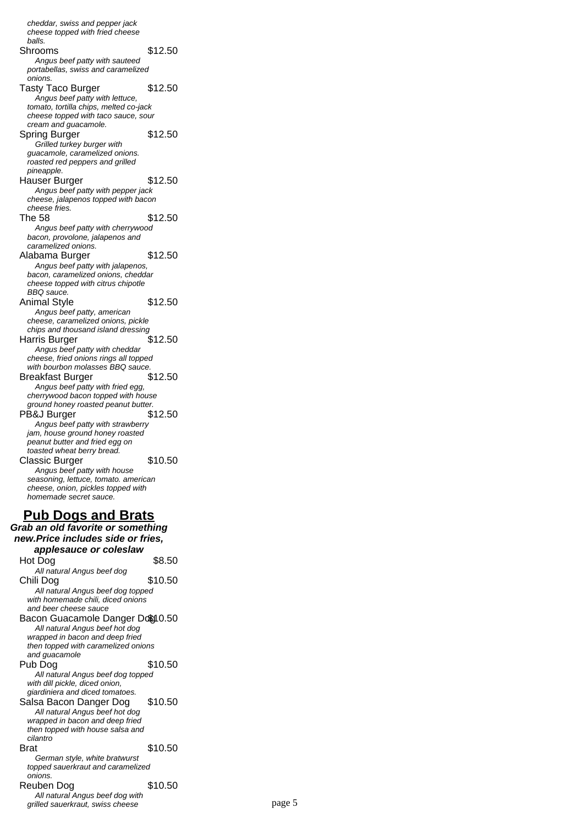cheddar, swiss and pepper jack cheese topped with fried cheese balls. Shrooms \$12.50 Angus beef patty with sauteed portabellas, swiss and caramelized onions. Tasty Taco Burger \$12.50 Angus beef patty with lettuce, tomato, tortilla chips, melted co-jack cheese topped with taco sauce, sour cream and guacamole. Spring Burger \$12.50 Grilled turkey burger with guacamole, caramelized onions. roasted red peppers and grilled pineapple. Hauser Burger \$12.50 Angus beef patty with pepper jack cheese, jalapenos topped with bacon cheese fries. The 58 \$12.50 Angus beef patty with cherrywood bacon, provolone, jalapenos and caramelized onions. Alabama Burger \$12.50 Angus beef patty with jalapenos, bacon, caramelized onions, cheddar cheese topped with citrus chipotle BBQ sauce. Animal Style \$12.50 Angus beef patty, american cheese, caramelized onions, pickle chips and thousand island dressing Harris Burger \$12.50 Angus beef patty with cheddar cheese, fried onions rings all topped with bourbon molasses BBQ sauce. Breakfast Burger \$12.50 Angus beef patty with fried egg, cherrywood bacon topped with house ground honey roasted peanut butter. PB&J Burger \$12.50 Angus beef patty with strawberry jam, house ground honey roasted peanut butter and fried egg on toasted wheat berry bread. Classic Burger \$10.50 Angus beef patty with house seasoning, lettuce, tomato. american cheese, onion, pickles topped with homemade secret sauce. **Pub Dogs and Brats Grab an old favorite or something new.Price includes side or fries, applesauce or coleslaw** Hot Dog \$8.50 All natural Angus beef dog Chili Dog \$10.50 All natural Angus beef dog topped with homemade chili, diced onions and beer cheese sauce Bacon Guacamole Danger Dog10.50 All natural Angus beef hot dog

wrapped in bacon and deep fried then topped with caramelized onions and guacamole Pub Dog \$10.50 All natural Angus beef dog topped with dill pickle, diced onion, giardiniera and diced tomatoes. Salsa Bacon Danger Dog \$10.50 All natural Angus beef hot dog wrapped in bacon and deep fried then topped with house salsa and cilantro

#### **Brat** \$10.50 German style, white bratwurst topped sauerkraut and caramelized onions. Reuben Dog \$10.50

All natural Angus beef dog with grilled sauerkraut, swiss cheese page 5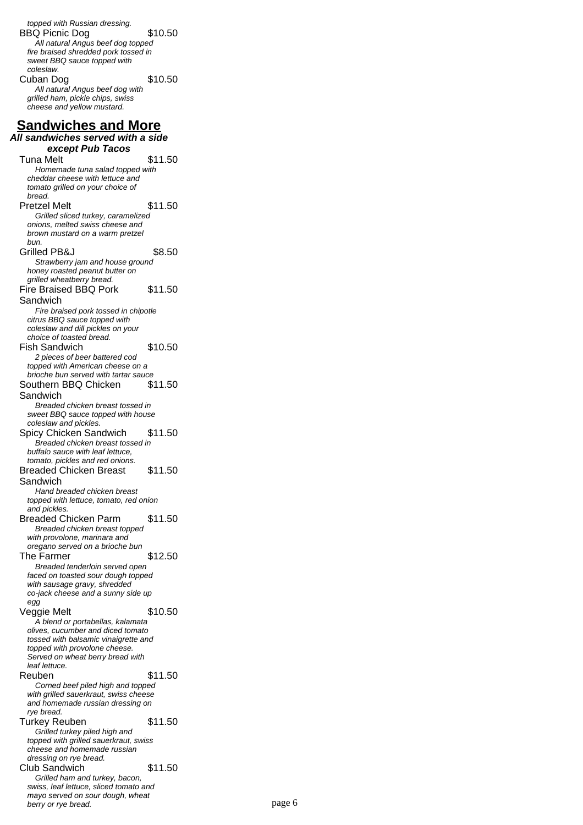topped with Russian dressing. BBQ Picnic Dog \$10.50 All natural Angus beef dog topped fire braised shredded pork tossed in sweet BBQ sauce topped with coleslaw. Cuban Dog \$10.50 All natural Angus beef dog with grilled ham, pickle chips, swiss cheese and yellow mustard. **Sandwiches and More All sandwiches served with a side except Pub Tacos** Tuna Melt  $$11.50$ Homemade tuna salad topped with cheddar cheese with lettuce and tomato grilled on your choice of bread. Pretzel Melt \$11.50 Grilled sliced turkey, caramelized onions, melted swiss cheese and brown mustard on a warm pretzel bun. Grilled PB&J \$8.50 Strawberry jam and house ground honey roasted peanut butter on grilled wheatberry bread. Fire Braised BBQ Pork Sandwich \$11.50 Fire braised pork tossed in chipotle citrus BBQ sauce topped with coleslaw and dill pickles on your choice of toasted bread. Fish Sandwich \$10.50 2 pieces of beer battered cod topped with American cheese on a brioche bun served with tartar sauce Southern BBQ Chicken Sandwich \$11.50 Breaded chicken breast tossed in sweet BBQ sauce topped with house coleslaw and pickles. Spicy Chicken Sandwich \$11.50 Breaded chicken breast tossed in buffalo sauce with leaf lettuce, tomato, pickles and red onions. Breaded Chicken Breast Sandwich \$11.50 Hand breaded chicken breast topped with lettuce, tomato, red onion and pickles. Breaded Chicken Parm \$11.50 Breaded chicken breast topped with provolone, marinara and oregano served on a brioche bun The Farmer \$12.50 Breaded tenderloin served open faced on toasted sour dough topped with sausage gravy, shredded co-jack cheese and a sunny side up egg Veggie Melt \$10.50 A blend or portabellas, kalamata olives, cucumber and diced tomato tossed with balsamic vinaigrette and topped with provolone cheese. Served on wheat berry bread with leaf lettuce. Reuben \$11.50 Corned beef piled high and topped with grilled sauerkraut, swiss cheese and homemade russian dressing on rye bread. Turkey Reuben \$11.50 Grilled turkey piled high and topped with grilled sauerkraut, swiss cheese and homemade russian dressing on rye bread. Club Sandwich \$11.50 Grilled ham and turkey, bacon, swiss, leaf lettuce, sliced tomato and mayo served on sour dough, wheat

berry or rye bread. page 6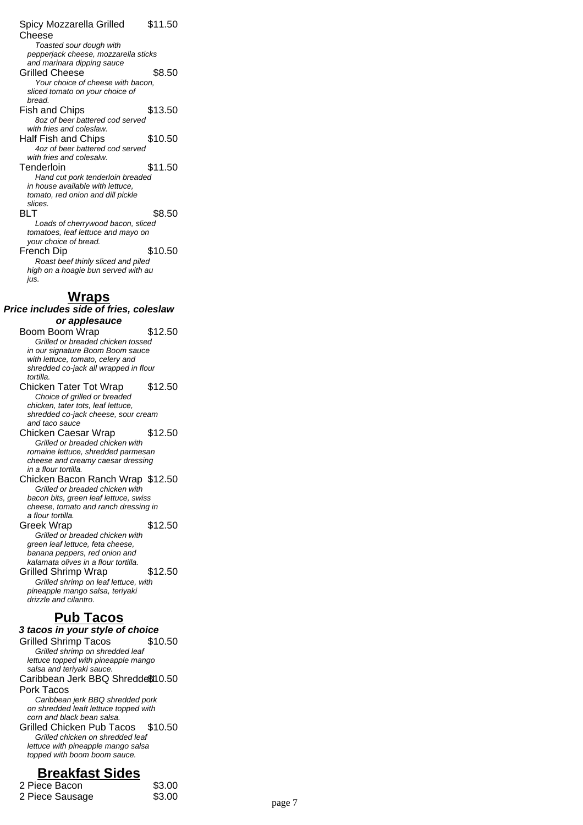#### Spicy Mozzarella Grilled Cheese \$11.50 Toasted sour dough with pepperjack cheese, mozzarella sticks and marinara dipping sauce Grilled Cheese \$8.50 Your choice of cheese with bacon, sliced tomato on your choice of bread. Fish and Chips \$13.50 8oz of beer battered cod served with fries and coleslaw. Half Fish and Chips \$10.50 4oz of beer battered cod served with fries and colesalw. Tenderloin \$11.50 Hand cut pork tenderloin breaded in house available with lettuce, tomato, red onion and dill pickle slices. BLT \$8.50 Loads of cherrywood bacon, sliced tomatoes, leaf lettuce and mayo on your choice of bread. French Dip \$10.50 Roast beef thinly sliced and piled high on a hoagie bun served with au jus.

### **Wraps**

**Price includes side of fries, coleslaw or applesauce** Boom Boom Wrap \$12.50 Grilled or breaded chicken tossed in our signature Boom Boom sauce with lettuce, tomato, celery and shredded co-jack all wrapped in flour tortilla. Chicken Tater Tot Wrap \$12.50 Choice of grilled or breaded chicken, tater tots, leaf lettuce, shredded co-jack cheese, sour cream and taco sauce Chicken Caesar Wrap \$12.50 Grilled or breaded chicken with romaine lettuce, shredded parmesan cheese and creamy caesar dressing in a flour tortilla. Chicken Bacon Ranch Wrap \$12.50 Grilled or breaded chicken with bacon bits, green leaf lettuce, swiss cheese, tomato and ranch dressing in a flour tortilla. Greek Wrap  $$12.50$ Grilled or breaded chicken with green leaf lettuce, feta cheese, banana peppers, red onion and kalamata olives in a flour tortilla. Grilled Shrimp Wrap \$12.50 Grilled shrimp on leaf lettuce, with pineapple mango salsa, teriyaki drizzle and cilantro. **Pub Tacos 3 tacos in your style of choice** Grilled Shrimp Tacos \$10.50 Grilled shrimp on shredded leaf lettuce topped with pineapple mango salsa and terivaki sauce. Caribbean Jerk BBQ Shredded \$10.50 Pork Tacos Caribbean jerk BBQ shredded pork on shredded leaft lettuce topped with corn and black bean salsa. Grilled Chicken Pub Tacos \$10.50 Grilled chicken on shredded leaf lettuce with pineapple mango salsa topped with boom boom sauce. **Breakfast Sides**

| 2 Piece Bacon   | \$3.00 |        |
|-----------------|--------|--------|
| 2 Piece Sausage | \$3.00 | page 7 |